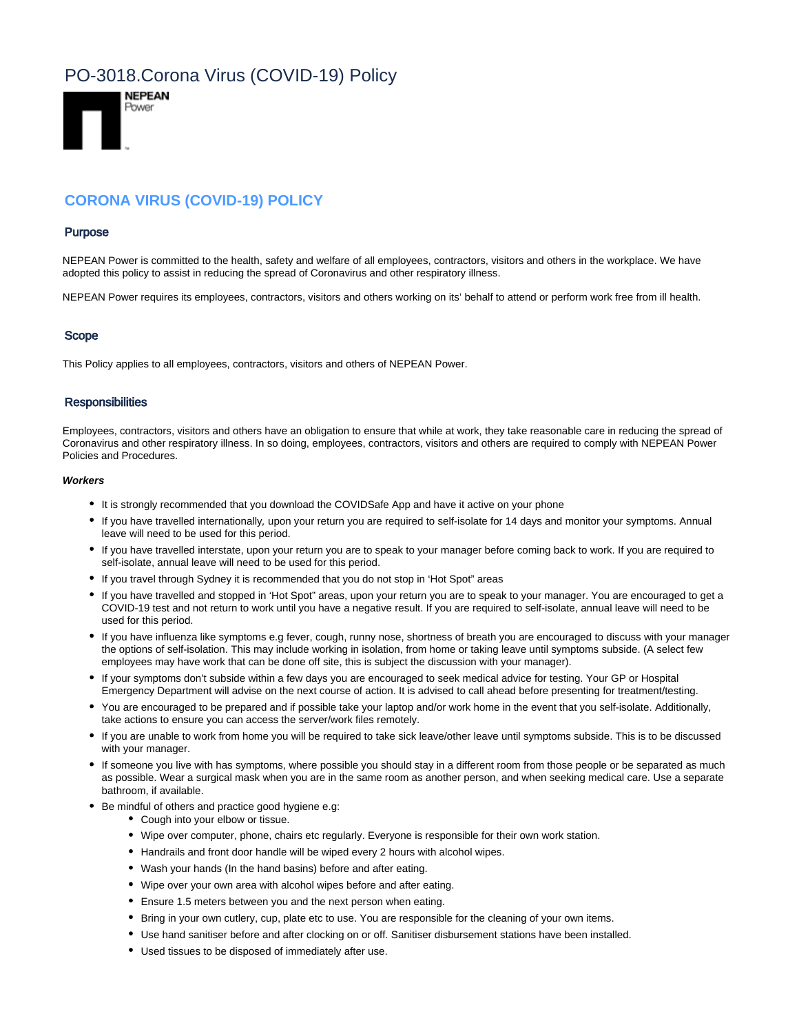# PO-3018.Corona Virus (COVID-19) Policy



# **CORONA VIRUS (COVID-19) POLICY**

#### Purpose

NEPEAN Power is committed to the health, safety and welfare of all employees, contractors, visitors and others in the workplace. We have adopted this policy to assist in reducing the spread of Coronavirus and other respiratory illness.

NEPEAN Power requires its employees, contractors, visitors and others working on its' behalf to attend or perform work free from ill health.

### Scope

This Policy applies to all employees, contractors, visitors and others of NEPEAN Power.

#### **Responsibilities**

Employees, contractors, visitors and others have an obligation to ensure that while at work, they take reasonable care in reducing the spread of Coronavirus and other respiratory illness. In so doing, employees, contractors, visitors and others are required to comply with NEPEAN Power Policies and Procedures.

#### **Workers**

- It is strongly recommended that you download the COVIDSafe App and have it active on your phone
- If you have travelled internationally, upon your return you are required to self-isolate for 14 days and monitor your symptoms. Annual leave will need to be used for this period.
- If you have travelled interstate, upon your return you are to speak to your manager before coming back to work. If you are required to self-isolate, annual leave will need to be used for this period.
- If you travel through Sydney it is recommended that you do not stop in 'Hot Spot" areas
- If you have travelled and stopped in 'Hot Spot" areas, upon your return you are to speak to your manager. You are encouraged to get a COVID-19 test and not return to work until you have a negative result. If you are required to self-isolate, annual leave will need to be used for this period.
- If you have influenza like symptoms e.g fever, cough, runny nose, shortness of breath you are encouraged to discuss with your manager the options of self-isolation. This may include working in isolation, from home or taking leave until symptoms subside. (A select few employees may have work that can be done off site, this is subject the discussion with your manager).
- If your symptoms don't subside within a few days you are encouraged to seek medical advice for testing. Your GP or Hospital Emergency Department will advise on the next course of action. It is advised to call ahead before presenting for treatment/testing.
- You are encouraged to be prepared and if possible take your laptop and/or work home in the event that you self-isolate. Additionally, take actions to ensure you can access the server/work files remotely.
- If you are unable to work from home you will be required to take sick leave/other leave until symptoms subside. This is to be discussed with your manager.
- If someone you live with has symptoms, where possible you should stay in a different room from those people or be separated as much as possible. Wear a surgical mask when you are in the same room as another person, and when seeking medical care. Use a separate bathroom, if available.
- Be mindful of others and practice good hygiene e.g:
	- Cough into your elbow or tissue.
	- Wipe over computer, phone, chairs etc regularly. Everyone is responsible for their own work station.
	- Handrails and front door handle will be wiped every 2 hours with alcohol wipes.
	- Wash your hands (In the hand basins) before and after eating.
	- Wipe over your own area with alcohol wipes before and after eating.
	- Ensure 1.5 meters between you and the next person when eating.
	- Bring in your own cutlery, cup, plate etc to use. You are responsible for the cleaning of your own items.
	- Use hand sanitiser before and after clocking on or off. Sanitiser disbursement stations have been installed.
	- Used tissues to be disposed of immediately after use.